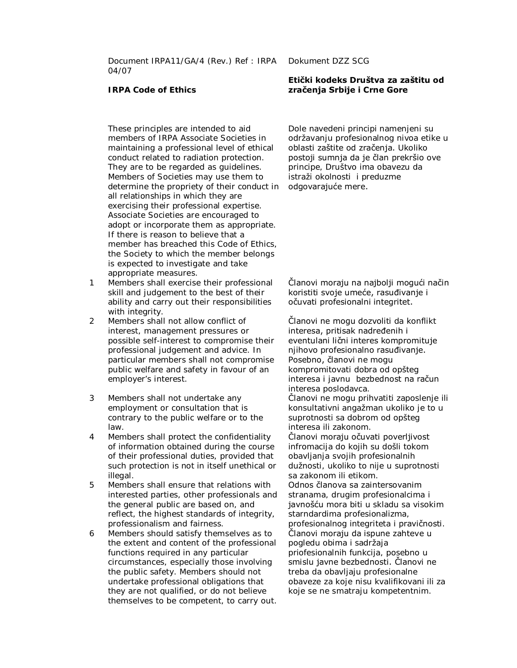Document IRPA11/GA/4 (Rev.) Ref : IRPA 04/07

## **IRPA Code of Ethics**

These principles are intended to aid members of IRPA Associate Societies in maintaining a professional level of ethical conduct related to radiation protection. They are to be regarded as guidelines. Members of Societies may use them to determine the propriety of their conduct in all relationships in which they are exercising their professional expertise. Associate Societies are encouraged to adopt or incorporate them as appropriate. If there is reason to believe that a member has breached this Code of Ethics, the Society to which the member belongs is expected to investigate and take appropriate measures.

- 1 Members shall exercise their professional skill and judgement to the best of their ability and carry out their responsibilities with integrity.
- 2 Members shall not allow conflict of interest, management pressures or possible self-interest to compromise their professional judgement and advice. In particular members shall not compromise public welfare and safety in favour of an employer's interest.
- 3 Members shall not undertake any employment or consultation that is contrary to the public welfare or to the law.
- 4 Members shall protect the confidentiality of information obtained during the course of their professional duties, provided that such protection is not in itself unethical or illegal.
- 5 Members shall ensure that relations with interested parties, other professionals and the general public are based on, and reflect, the highest standards of integrity, professionalism and fairness.
- 6 Members should satisfy themselves as to the extent and content of the professional functions required in any particular circumstances, especially those involving the public safety. Members should not undertake professional obligations that they are not qualified, or do not believe themselves to be competent, to carry out.

## Dokument DZZ SCG

## **Etički kodeks Društva za zaštitu od zračenja Srbije i Crne Gore**

Dole navedeni principi namenjeni su održavanju profesionalnog nivoa etike u oblasti zaštite od zračenja. Ukoliko postoji sumnja da je član prekršio ove principe, Društvo ima obavezu da istraži okolnosti i preduzme odgovarajuće mere.

Članovi moraju na najbolji mogući način koristiti svoje umeće, rasuđivanje i očuvati profesionalni integritet.

Članovi ne mogu dozvoliti da konflikt interesa, pritisak nadređenih i eventulani lični interes kompromituje nijhovo profesionalno rasuđivanje. Posebno, članovi ne mogu kompromitovati dobra od opšteg interesa i javnu bezbednost na račun interesa poslodavca.

Članovi ne mogu prihvatiti zaposlenje ili konsultativni angažman ukoliko je to u suprotnosti sa dobrom od opšteg interesa ili zakonom.

Članovi moraju očuvati poverljivost infromacija do kojih su došli tokom obavljanja svojih profesionalnih dužnosti, ukoliko to nije u suprotnosti sa zakonom ili etikom.

Odnos članova sa zaintersovanim stranama, drugim profesionalcima i javnošću mora biti u skladu sa visokim starndardima profesionalizma, profesionalnog integriteta i pravičnosti. Članovi moraju da ispune zahteve u pogledu obima i sadržaja priofesionalnih funkcija, posebno u smislu javne bezbednosti. Članovi ne treba da obavljaju profesionalne obaveze za koje nisu kvalifikovani ili za koje se ne smatraju kompetentnim.